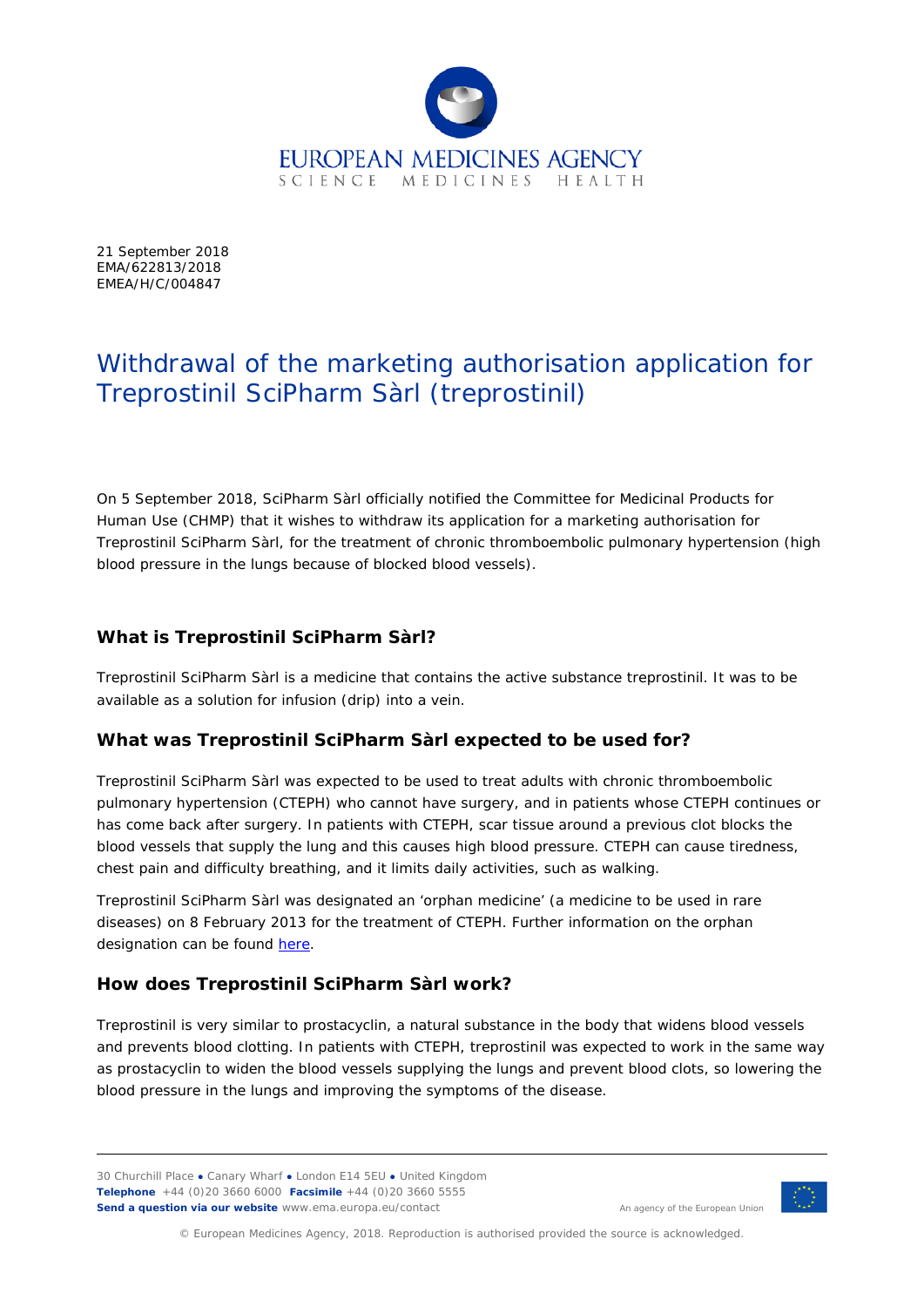

21 September 2018 EMA/622813/2018 EMEA/H/C/004847

# Withdrawal of the marketing authorisation application for Treprostinil SciPharm Sàrl (treprostinil)

On 5 September 2018, SciPharm Sàrl officially notified the Committee for Medicinal Products for Human Use (CHMP) that it wishes to withdraw its application for a marketing authorisation for Treprostinil SciPharm Sàrl, for the treatment of chronic thromboembolic pulmonary hypertension (high blood pressure in the lungs because of blocked blood vessels).

### **What is Treprostinil SciPharm Sàrl?**

Treprostinil SciPharm Sàrl is a medicine that contains the active substance treprostinil. It was to be available as a solution for infusion (drip) into a vein.

## **What was Treprostinil SciPharm Sàrl expected to be used for?**

Treprostinil SciPharm Sàrl was expected to be used to treat adults with chronic thromboembolic pulmonary hypertension (CTEPH) who cannot have surgery, and in patients whose CTEPH continues or has come back after surgery. In patients with CTEPH, scar tissue around a previous clot blocks the blood vessels that supply the lung and this causes high blood pressure. CTEPH can cause tiredness, chest pain and difficulty breathing, and it limits daily activities, such as walking.

Treprostinil SciPharm Sàrl was designated an 'orphan medicine' (a medicine to be used in rare diseases) on 8 February 2013 for the treatment of CTEPH. Further information on the orphan designation can be found [here.](http://www.ema.europa.eu/ema/index.jsp?curl=pages/medicines/human/orphans/2013/03/human_orphan_001176.jsp&mid=WC0b01ac058001d12b)

## **How does Treprostinil SciPharm Sàrl work?**

Treprostinil is very similar to prostacyclin, a natural substance in the body that widens blood vessels and prevents blood clotting. In patients with CTEPH, treprostinil was expected to work in the same way as prostacyclin to widen the blood vessels supplying the lungs and prevent blood clots, so lowering the blood pressure in the lungs and improving the symptoms of the disease.

30 Churchill Place **●** Canary Wharf **●** London E14 5EU **●** United Kingdom **Telephone** +44 (0)20 3660 6000 **Facsimile** +44 (0)20 3660 5555 **Send a question via our website** www.ema.europa.eu/contact



An agency of the European Union

© European Medicines Agency, 2018. Reproduction is authorised provided the source is acknowledged.